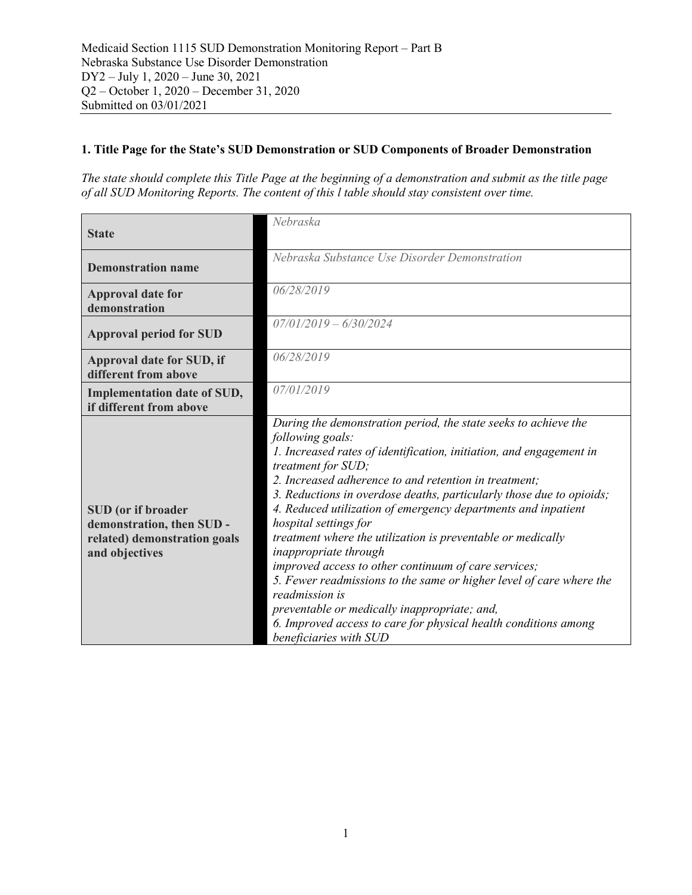## **1. Title Page for the State's SUD Demonstration or SUD Components of Broader Demonstration**

*The state should complete this Title Page at the beginning of a demonstration and submit as the title page of all SUD Monitoring Reports. The content of this l table should stay consistent over time.*

| <b>State</b>                                                                                      | Nebraska                                                                                                                                                                                                                                                                                                                                                                                                                                                                                                                                                                                                                                                                                                                                                                                          |
|---------------------------------------------------------------------------------------------------|---------------------------------------------------------------------------------------------------------------------------------------------------------------------------------------------------------------------------------------------------------------------------------------------------------------------------------------------------------------------------------------------------------------------------------------------------------------------------------------------------------------------------------------------------------------------------------------------------------------------------------------------------------------------------------------------------------------------------------------------------------------------------------------------------|
| <b>Demonstration name</b>                                                                         | Nebraska Substance Use Disorder Demonstration                                                                                                                                                                                                                                                                                                                                                                                                                                                                                                                                                                                                                                                                                                                                                     |
| <b>Approval date for</b><br>demonstration                                                         | 06/28/2019                                                                                                                                                                                                                                                                                                                                                                                                                                                                                                                                                                                                                                                                                                                                                                                        |
| <b>Approval period for SUD</b>                                                                    | $07/01/2019 - 6/30/2024$                                                                                                                                                                                                                                                                                                                                                                                                                                                                                                                                                                                                                                                                                                                                                                          |
| Approval date for SUD, if<br>different from above                                                 | 06/28/2019                                                                                                                                                                                                                                                                                                                                                                                                                                                                                                                                                                                                                                                                                                                                                                                        |
| <b>Implementation date of SUD,</b><br>if different from above                                     | 07/01/2019                                                                                                                                                                                                                                                                                                                                                                                                                                                                                                                                                                                                                                                                                                                                                                                        |
| SUD (or if broader<br>demonstration, then SUD -<br>related) demonstration goals<br>and objectives | During the demonstration period, the state seeks to achieve the<br>following goals:<br>1. Increased rates of identification, initiation, and engagement in<br>treatment for SUD;<br>2. Increased adherence to and retention in treatment;<br>3. Reductions in overdose deaths, particularly those due to opioids;<br>4. Reduced utilization of emergency departments and inpatient<br>hospital settings for<br>treatment where the utilization is preventable or medically<br>inappropriate through<br>improved access to other continuum of care services;<br>5. Fewer readmissions to the same or higher level of care where the<br>readmission is<br>preventable or medically inappropriate; and,<br>6. Improved access to care for physical health conditions among<br>beneficiaries with SUD |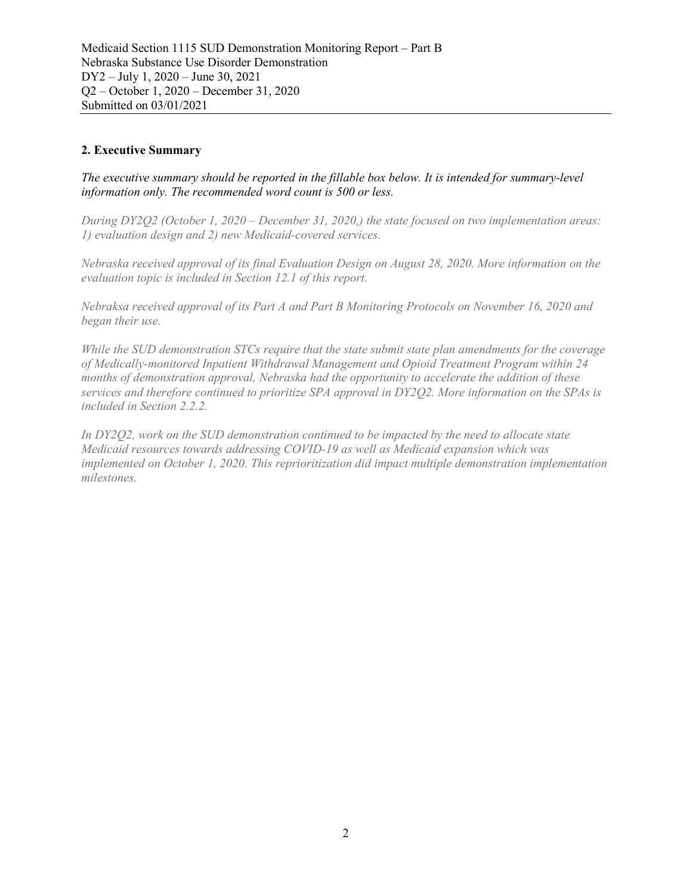## **2. Executive Summary**

*The executive summary should be reported in the fillable box below. It is intended for summary-level information only. The recommended word count is 500 or less.*

*During DY2Q2 (October 1, 2020 – December 31, 2020,) the state focused on two implementation areas: 1) evaluation design and 2) new Medicaid-covered services.* 

*Nebraska received approval of its final Evaluation Design on August 28, 2020. More information on the evaluation topic is included in Section 12.1 of this report.*

*Nebraksa received approval of its Part A and Part B Monitoring Protocols on November 16, 2020 and began their use.*

*While the SUD demonstration STCs require that the state submit state plan amendments for the coverage of Medically-monitored Inpatient Withdrawal Management and Opioid Treatment Program within 24 months of demonstration approval, Nebraska had the opportunity to accelerate the addition of these services and therefore continued to prioritize SPA approval in DY2Q2. More information on the SPAs is included in Section 2.2.2.*

*In DY2Q2, work on the SUD demonstration continued to be impacted by the need to allocate state Medicaid resources towards addressing COVID-19 as well as Medicaid expansion which was implemented on October 1, 2020. This reprioritization did impact multiple demonstration implementation milestones.*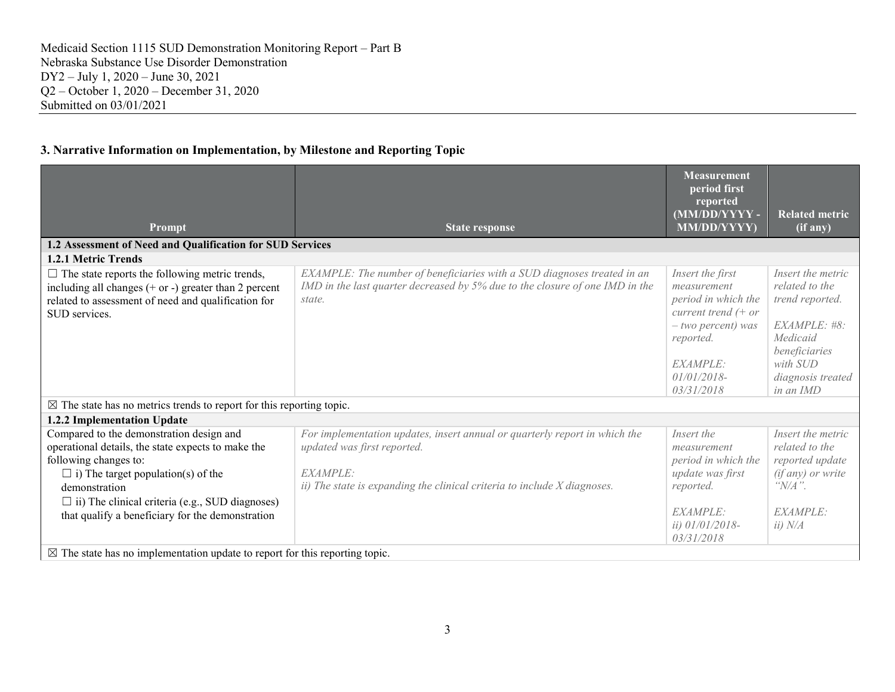## **3. Narrative Information on Implementation, by Milestone and Reporting Topic**

|                                                                                                                                                                                                                                                                                                     |                                                                                                                                                                                                   | <b>Measurement</b><br>period first<br>reported<br>(MM/DD/YYYY-                                                                                                    | <b>Related metric</b>                                                                                                                             |
|-----------------------------------------------------------------------------------------------------------------------------------------------------------------------------------------------------------------------------------------------------------------------------------------------------|---------------------------------------------------------------------------------------------------------------------------------------------------------------------------------------------------|-------------------------------------------------------------------------------------------------------------------------------------------------------------------|---------------------------------------------------------------------------------------------------------------------------------------------------|
| Prompt                                                                                                                                                                                                                                                                                              | <b>State response</b>                                                                                                                                                                             | MM/DD/YYYY)                                                                                                                                                       | (if any)                                                                                                                                          |
| 1.2 Assessment of Need and Qualification for SUD Services                                                                                                                                                                                                                                           |                                                                                                                                                                                                   |                                                                                                                                                                   |                                                                                                                                                   |
| <b>1.2.1 Metric Trends</b>                                                                                                                                                                                                                                                                          |                                                                                                                                                                                                   |                                                                                                                                                                   |                                                                                                                                                   |
| $\Box$ The state reports the following metric trends,<br>including all changes $(+)$ or $-)$ greater than 2 percent<br>related to assessment of need and qualification for<br>SUD services.                                                                                                         | EXAMPLE: The number of beneficiaries with a SUD diagnoses treated in an<br>IMD in the last quarter decreased by 5% due to the closure of one IMD in the<br>state.                                 | Insert the first<br>measurement<br>period in which the<br>current trend $(+)$ or<br>$-$ two percent) was<br>reported.<br>EXAMPLE:<br>$01/01/2018$ -<br>03/31/2018 | Insert the metric<br>related to the<br>trend reported.<br>EXAMPLE: #8:<br>Medicaid<br>beneficiaries<br>with SUD<br>diagnosis treated<br>in an IMD |
| $\boxtimes$ The state has no metrics trends to report for this reporting topic.                                                                                                                                                                                                                     |                                                                                                                                                                                                   |                                                                                                                                                                   |                                                                                                                                                   |
| 1.2.2 Implementation Update                                                                                                                                                                                                                                                                         |                                                                                                                                                                                                   |                                                                                                                                                                   |                                                                                                                                                   |
| Compared to the demonstration design and<br>operational details, the state expects to make the<br>following changes to:<br>$\Box$ i) The target population(s) of the<br>demonstration<br>$\Box$ ii) The clinical criteria (e.g., SUD diagnoses)<br>that qualify a beneficiary for the demonstration | For implementation updates, insert annual or quarterly report in which the<br>updated was first reported.<br>EXAMPLE:<br>ii) The state is expanding the clinical criteria to include X diagnoses. | Insert the<br>measurement<br>period in which the<br>update was first<br>reported.<br>EXAMPLE:<br><i>ii</i> ) 01/01/2018-<br>03/31/2018                            | Insert the metric<br>related to the<br>reported update<br>$(if any)$ or write<br>" $N/A$ ".<br>EXAMPLE:<br>ii) N/A                                |
| $\boxtimes$ The state has no implementation update to report for this reporting topic.                                                                                                                                                                                                              |                                                                                                                                                                                                   |                                                                                                                                                                   |                                                                                                                                                   |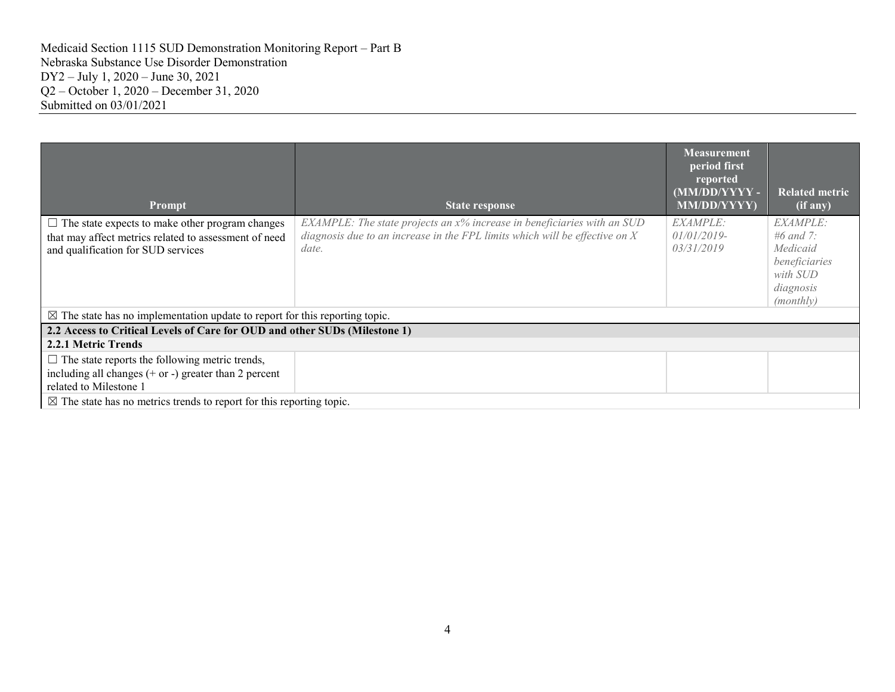| <b>Prompt</b>                                                                                                                                         | <b>State response</b>                                                                                                                                                  | Measurement<br>period first<br>reported<br>(MM/DD/YYYY-<br><b>MM/DD/YYYY)</b> | <b>Related metric</b><br>$(i\bar{f}$ any)                                                |
|-------------------------------------------------------------------------------------------------------------------------------------------------------|------------------------------------------------------------------------------------------------------------------------------------------------------------------------|-------------------------------------------------------------------------------|------------------------------------------------------------------------------------------|
| $\Box$ The state expects to make other program changes<br>that may affect metrics related to assessment of need<br>and qualification for SUD services | $EXAMPLE:$ The state projects an $x\%$ increase in beneficiaries with an SUD<br>diagnosis due to an increase in the FPL limits which will be effective on $X$<br>date. | <i>EXAMPLE:</i><br>$01/01/2019$ -<br>03/31/2019                               | EXAMPLE:<br>#6 and 7:<br>Medicaid<br>beneficiaries<br>with SUD<br>diagnosis<br>(monthly) |
| $\boxtimes$ The state has no implementation update to report for this reporting topic.                                                                |                                                                                                                                                                        |                                                                               |                                                                                          |
| 2.2 Access to Critical Levels of Care for OUD and other SUDs (Milestone 1)                                                                            |                                                                                                                                                                        |                                                                               |                                                                                          |
| 2.2.1 Metric Trends                                                                                                                                   |                                                                                                                                                                        |                                                                               |                                                                                          |
| $\Box$ The state reports the following metric trends,<br>including all changes $(+ or -)$ greater than 2 percent<br>related to Milestone 1            |                                                                                                                                                                        |                                                                               |                                                                                          |
| $\boxtimes$ The state has no metrics trends to report for this reporting topic.                                                                       |                                                                                                                                                                        |                                                                               |                                                                                          |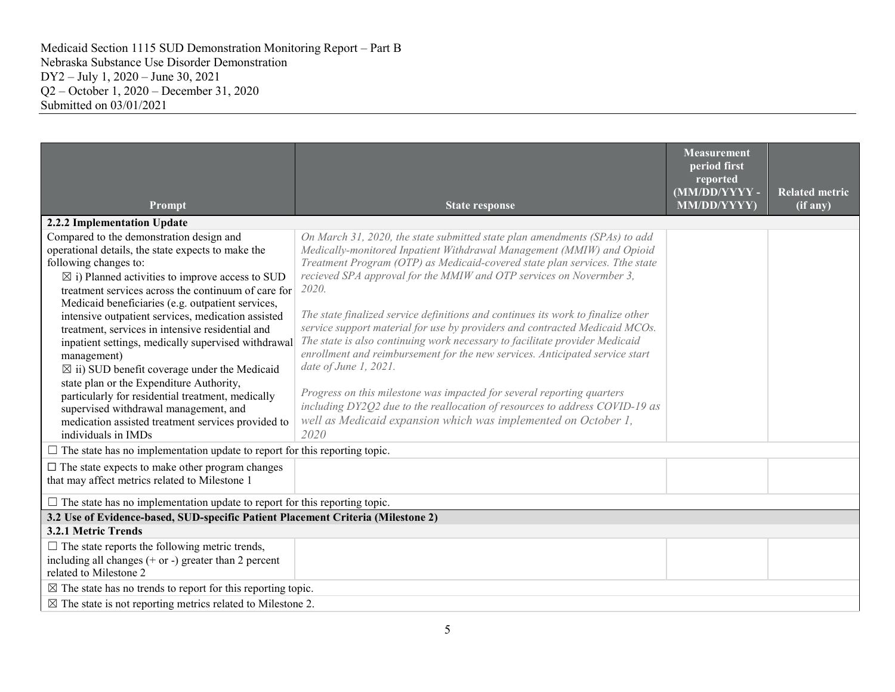| Prompt                                                                                                                                                                                                                                                                                                                                                                                                                                                                                                                                                                                                                                                                                                                                       | <b>State response</b>                                                                                                                                                                                                                                                                                                                                                                                                                                                                                                                                                                                                                                                                                                                                                                                                                                                                                       | <b>Measurement</b><br>period first<br>reported<br>(MM/DD/YYYY-<br>MM/DD/YYYY) | <b>Related metric</b><br>(if any) |
|----------------------------------------------------------------------------------------------------------------------------------------------------------------------------------------------------------------------------------------------------------------------------------------------------------------------------------------------------------------------------------------------------------------------------------------------------------------------------------------------------------------------------------------------------------------------------------------------------------------------------------------------------------------------------------------------------------------------------------------------|-------------------------------------------------------------------------------------------------------------------------------------------------------------------------------------------------------------------------------------------------------------------------------------------------------------------------------------------------------------------------------------------------------------------------------------------------------------------------------------------------------------------------------------------------------------------------------------------------------------------------------------------------------------------------------------------------------------------------------------------------------------------------------------------------------------------------------------------------------------------------------------------------------------|-------------------------------------------------------------------------------|-----------------------------------|
| 2.2.2 Implementation Update                                                                                                                                                                                                                                                                                                                                                                                                                                                                                                                                                                                                                                                                                                                  |                                                                                                                                                                                                                                                                                                                                                                                                                                                                                                                                                                                                                                                                                                                                                                                                                                                                                                             |                                                                               |                                   |
| Compared to the demonstration design and<br>operational details, the state expects to make the<br>following changes to:<br>$\boxtimes$ i) Planned activities to improve access to SUD<br>treatment services across the continuum of care for<br>Medicaid beneficiaries (e.g. outpatient services,<br>intensive outpatient services, medication assisted<br>treatment, services in intensive residential and<br>inpatient settings, medically supervised withdrawal<br>management)<br>$\boxtimes$ ii) SUD benefit coverage under the Medicaid<br>state plan or the Expenditure Authority,<br>particularly for residential treatment, medically<br>supervised withdrawal management, and<br>medication assisted treatment services provided to | On March 31, 2020, the state submitted state plan amendments (SPAs) to add<br>Medically-monitored Inpatient Withdrawal Management (MMIW) and Opioid<br>Treatment Program (OTP) as Medicaid-covered state plan services. Tthe state<br>recieved SPA approval for the MMIW and OTP services on Novermber 3,<br>2020.<br>The state finalized service definitions and continues its work to finalize other<br>service support material for use by providers and contracted Medicaid MCOs.<br>The state is also continuing work necessary to facilitate provider Medicaid<br>enrollment and reimbursement for the new services. Anticipated service start<br>date of June $1, 2021$ .<br>Progress on this milestone was impacted for several reporting quarters<br>including DY2Q2 due to the reallocation of resources to address COVID-19 as<br>well as Medicaid expansion which was implemented on October 1, |                                                                               |                                   |
| individuals in IMDs                                                                                                                                                                                                                                                                                                                                                                                                                                                                                                                                                                                                                                                                                                                          | 2020                                                                                                                                                                                                                                                                                                                                                                                                                                                                                                                                                                                                                                                                                                                                                                                                                                                                                                        |                                                                               |                                   |
| $\Box$ The state has no implementation update to report for this reporting topic.                                                                                                                                                                                                                                                                                                                                                                                                                                                                                                                                                                                                                                                            |                                                                                                                                                                                                                                                                                                                                                                                                                                                                                                                                                                                                                                                                                                                                                                                                                                                                                                             |                                                                               |                                   |
| $\Box$ The state expects to make other program changes<br>that may affect metrics related to Milestone 1                                                                                                                                                                                                                                                                                                                                                                                                                                                                                                                                                                                                                                     |                                                                                                                                                                                                                                                                                                                                                                                                                                                                                                                                                                                                                                                                                                                                                                                                                                                                                                             |                                                                               |                                   |
| $\Box$ The state has no implementation update to report for this reporting topic.                                                                                                                                                                                                                                                                                                                                                                                                                                                                                                                                                                                                                                                            |                                                                                                                                                                                                                                                                                                                                                                                                                                                                                                                                                                                                                                                                                                                                                                                                                                                                                                             |                                                                               |                                   |
| 3.2 Use of Evidence-based, SUD-specific Patient Placement Criteria (Milestone 2)                                                                                                                                                                                                                                                                                                                                                                                                                                                                                                                                                                                                                                                             |                                                                                                                                                                                                                                                                                                                                                                                                                                                                                                                                                                                                                                                                                                                                                                                                                                                                                                             |                                                                               |                                   |
| 3.2.1 Metric Trends                                                                                                                                                                                                                                                                                                                                                                                                                                                                                                                                                                                                                                                                                                                          |                                                                                                                                                                                                                                                                                                                                                                                                                                                                                                                                                                                                                                                                                                                                                                                                                                                                                                             |                                                                               |                                   |
| $\Box$ The state reports the following metric trends,<br>including all changes $(+)$ or $-)$ greater than 2 percent<br>related to Milestone 2                                                                                                                                                                                                                                                                                                                                                                                                                                                                                                                                                                                                |                                                                                                                                                                                                                                                                                                                                                                                                                                                                                                                                                                                                                                                                                                                                                                                                                                                                                                             |                                                                               |                                   |
| $\boxtimes$ The state has no trends to report for this reporting topic.                                                                                                                                                                                                                                                                                                                                                                                                                                                                                                                                                                                                                                                                      |                                                                                                                                                                                                                                                                                                                                                                                                                                                                                                                                                                                                                                                                                                                                                                                                                                                                                                             |                                                                               |                                   |
| $\boxtimes$ The state is not reporting metrics related to Milestone 2.                                                                                                                                                                                                                                                                                                                                                                                                                                                                                                                                                                                                                                                                       |                                                                                                                                                                                                                                                                                                                                                                                                                                                                                                                                                                                                                                                                                                                                                                                                                                                                                                             |                                                                               |                                   |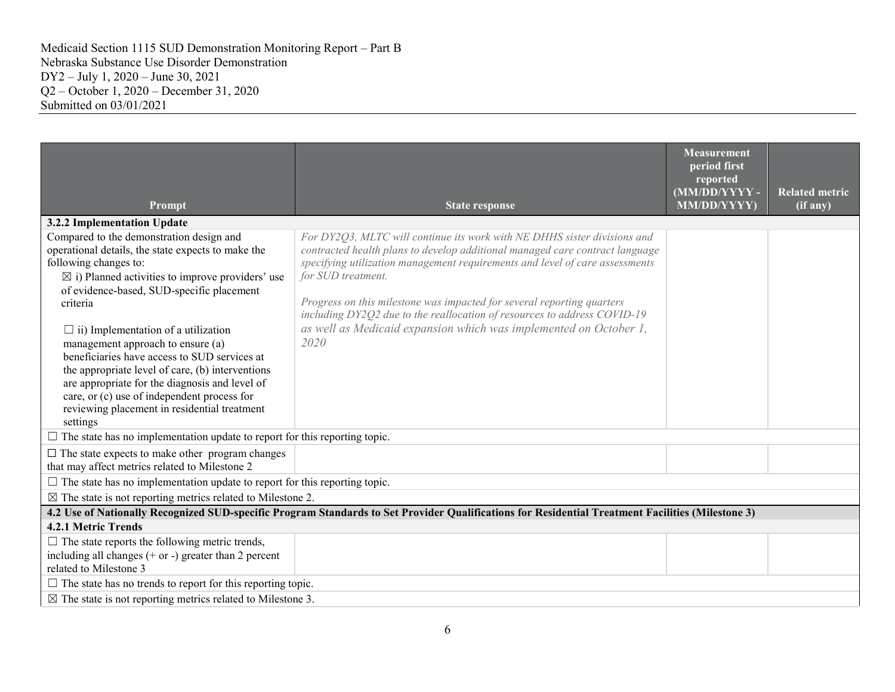| Prompt                                                                                                                                                                                                                                                                                                                                                                                                                                                                                                                                                                                              | <b>State response</b>                                                                                                                                                                                                                                                                                                                                                                                                                                                                             | Measurement<br>period first<br>reported<br>(MM/DD/YYYY-<br>MM/DD/YYYY) | <b>Related metric</b><br>(if any) |
|-----------------------------------------------------------------------------------------------------------------------------------------------------------------------------------------------------------------------------------------------------------------------------------------------------------------------------------------------------------------------------------------------------------------------------------------------------------------------------------------------------------------------------------------------------------------------------------------------------|---------------------------------------------------------------------------------------------------------------------------------------------------------------------------------------------------------------------------------------------------------------------------------------------------------------------------------------------------------------------------------------------------------------------------------------------------------------------------------------------------|------------------------------------------------------------------------|-----------------------------------|
| 3.2.2 Implementation Update                                                                                                                                                                                                                                                                                                                                                                                                                                                                                                                                                                         |                                                                                                                                                                                                                                                                                                                                                                                                                                                                                                   |                                                                        |                                   |
| Compared to the demonstration design and<br>operational details, the state expects to make the<br>following changes to:<br>$\boxtimes$ i) Planned activities to improve providers' use<br>of evidence-based, SUD-specific placement<br>criteria<br>$\Box$ ii) Implementation of a utilization<br>management approach to ensure (a)<br>beneficiaries have access to SUD services at<br>the appropriate level of care, (b) interventions<br>are appropriate for the diagnosis and level of<br>care, or (c) use of independent process for<br>reviewing placement in residential treatment<br>settings | For DY2Q3, MLTC will continue its work with NE DHHS sister divisions and<br>contracted health plans to develop additional managed care contract language<br>specifying utilization management requirements and level of care assessments<br>for SUD treatment.<br>Progress on this milestone was impacted for several reporting quarters<br>including DY2Q2 due to the reallocation of resources to address COVID-19<br>as well as Medicaid expansion which was implemented on October 1,<br>2020 |                                                                        |                                   |
| $\Box$ The state has no implementation update to report for this reporting topic.                                                                                                                                                                                                                                                                                                                                                                                                                                                                                                                   |                                                                                                                                                                                                                                                                                                                                                                                                                                                                                                   |                                                                        |                                   |
| $\Box$ The state expects to make other program changes<br>that may affect metrics related to Milestone 2<br>$\Box$ The state has no implementation update to report for this reporting topic.                                                                                                                                                                                                                                                                                                                                                                                                       |                                                                                                                                                                                                                                                                                                                                                                                                                                                                                                   |                                                                        |                                   |
| $\boxtimes$ The state is not reporting metrics related to Milestone 2.                                                                                                                                                                                                                                                                                                                                                                                                                                                                                                                              |                                                                                                                                                                                                                                                                                                                                                                                                                                                                                                   |                                                                        |                                   |
|                                                                                                                                                                                                                                                                                                                                                                                                                                                                                                                                                                                                     | 4.2 Use of Nationally Recognized SUD-specific Program Standards to Set Provider Qualifications for Residential Treatment Facilities (Milestone 3)                                                                                                                                                                                                                                                                                                                                                 |                                                                        |                                   |
| 4.2.1 Metric Trends                                                                                                                                                                                                                                                                                                                                                                                                                                                                                                                                                                                 |                                                                                                                                                                                                                                                                                                                                                                                                                                                                                                   |                                                                        |                                   |
| $\Box$ The state reports the following metric trends,<br>including all changes $(+)$ or $-)$ greater than 2 percent<br>related to Milestone 3                                                                                                                                                                                                                                                                                                                                                                                                                                                       |                                                                                                                                                                                                                                                                                                                                                                                                                                                                                                   |                                                                        |                                   |
| $\Box$ The state has no trends to report for this reporting topic.                                                                                                                                                                                                                                                                                                                                                                                                                                                                                                                                  |                                                                                                                                                                                                                                                                                                                                                                                                                                                                                                   |                                                                        |                                   |
| $\boxtimes$ The state is not reporting metrics related to Milestone 3.                                                                                                                                                                                                                                                                                                                                                                                                                                                                                                                              |                                                                                                                                                                                                                                                                                                                                                                                                                                                                                                   |                                                                        |                                   |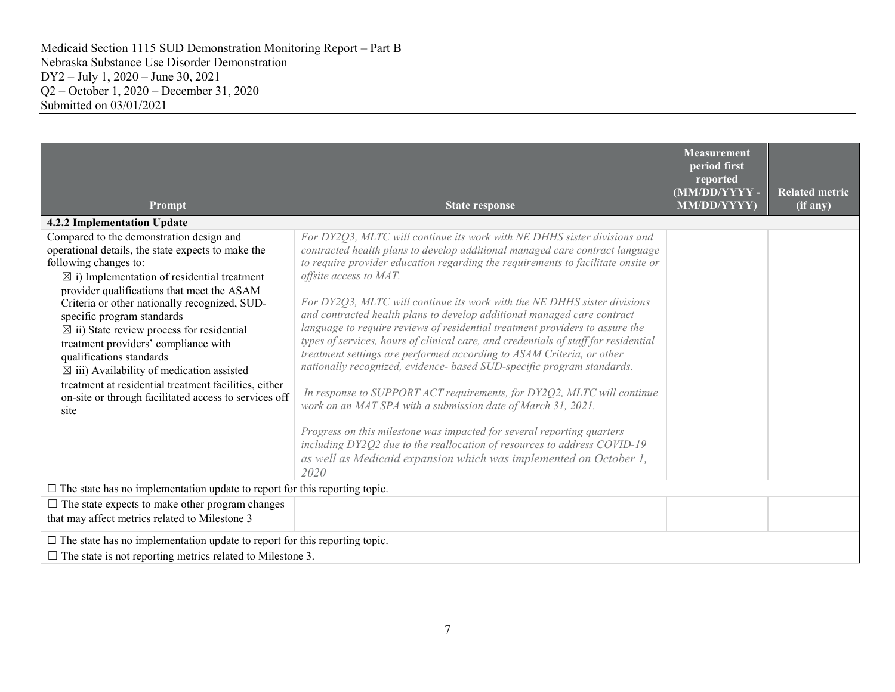| Prompt                                                                                                                                                                                                                                                                                                                                                                                                                                                                                                                                                                                                                       | <b>State response</b>                                                                                                                                                                                                                                                                                                                                                                                                                                                                                                                                                                                                                                                                                                                                                                                                                                                                                                                                                                                                                                                                                                        | <b>Measurement</b><br>period first<br>reported<br>(MM/DD/YYYY-<br>MM/DD/YYYY) | <b>Related metric</b><br>$(i\overline{f}$ any) |
|------------------------------------------------------------------------------------------------------------------------------------------------------------------------------------------------------------------------------------------------------------------------------------------------------------------------------------------------------------------------------------------------------------------------------------------------------------------------------------------------------------------------------------------------------------------------------------------------------------------------------|------------------------------------------------------------------------------------------------------------------------------------------------------------------------------------------------------------------------------------------------------------------------------------------------------------------------------------------------------------------------------------------------------------------------------------------------------------------------------------------------------------------------------------------------------------------------------------------------------------------------------------------------------------------------------------------------------------------------------------------------------------------------------------------------------------------------------------------------------------------------------------------------------------------------------------------------------------------------------------------------------------------------------------------------------------------------------------------------------------------------------|-------------------------------------------------------------------------------|------------------------------------------------|
| 4.2.2 Implementation Update                                                                                                                                                                                                                                                                                                                                                                                                                                                                                                                                                                                                  |                                                                                                                                                                                                                                                                                                                                                                                                                                                                                                                                                                                                                                                                                                                                                                                                                                                                                                                                                                                                                                                                                                                              |                                                                               |                                                |
| Compared to the demonstration design and<br>operational details, the state expects to make the<br>following changes to:<br>$\boxtimes$ i) Implementation of residential treatment<br>provider qualifications that meet the ASAM<br>Criteria or other nationally recognized, SUD-<br>specific program standards<br>$\boxtimes$ ii) State review process for residential<br>treatment providers' compliance with<br>qualifications standards<br>$\boxtimes$ iii) Availability of medication assisted<br>treatment at residential treatment facilities, either<br>on-site or through facilitated access to services off<br>site | For DY2Q3, MLTC will continue its work with NE DHHS sister divisions and<br>contracted health plans to develop additional managed care contract language<br>to require provider education regarding the requirements to facilitate onsite or<br>offsite access to MAT.<br>For DY2Q3, MLTC will continue its work with the NE DHHS sister divisions<br>and contracted health plans to develop additional managed care contract<br>language to require reviews of residential treatment providers to assure the<br>types of services, hours of clinical care, and credentials of staff for residential<br>treatment settings are performed according to ASAM Criteria, or other<br>nationally recognized, evidence- based SUD-specific program standards.<br>In response to SUPPORT ACT requirements, for DY2Q2, MLTC will continue<br>work on an MAT SPA with a submission date of March 31, 2021.<br>Progress on this milestone was impacted for several reporting quarters<br>including DY2Q2 due to the reallocation of resources to address COVID-19<br>as well as Medicaid expansion which was implemented on October 1, |                                                                               |                                                |
|                                                                                                                                                                                                                                                                                                                                                                                                                                                                                                                                                                                                                              | 2020                                                                                                                                                                                                                                                                                                                                                                                                                                                                                                                                                                                                                                                                                                                                                                                                                                                                                                                                                                                                                                                                                                                         |                                                                               |                                                |
| $\square$ The state has no implementation update to report for this reporting topic.                                                                                                                                                                                                                                                                                                                                                                                                                                                                                                                                         |                                                                                                                                                                                                                                                                                                                                                                                                                                                                                                                                                                                                                                                                                                                                                                                                                                                                                                                                                                                                                                                                                                                              |                                                                               |                                                |
| $\Box$ The state expects to make other program changes<br>that may affect metrics related to Milestone 3                                                                                                                                                                                                                                                                                                                                                                                                                                                                                                                     |                                                                                                                                                                                                                                                                                                                                                                                                                                                                                                                                                                                                                                                                                                                                                                                                                                                                                                                                                                                                                                                                                                                              |                                                                               |                                                |
| $\square$ The state has no implementation update to report for this reporting topic.                                                                                                                                                                                                                                                                                                                                                                                                                                                                                                                                         |                                                                                                                                                                                                                                                                                                                                                                                                                                                                                                                                                                                                                                                                                                                                                                                                                                                                                                                                                                                                                                                                                                                              |                                                                               |                                                |
| $\Box$ The state is not reporting metrics related to Milestone 3.                                                                                                                                                                                                                                                                                                                                                                                                                                                                                                                                                            |                                                                                                                                                                                                                                                                                                                                                                                                                                                                                                                                                                                                                                                                                                                                                                                                                                                                                                                                                                                                                                                                                                                              |                                                                               |                                                |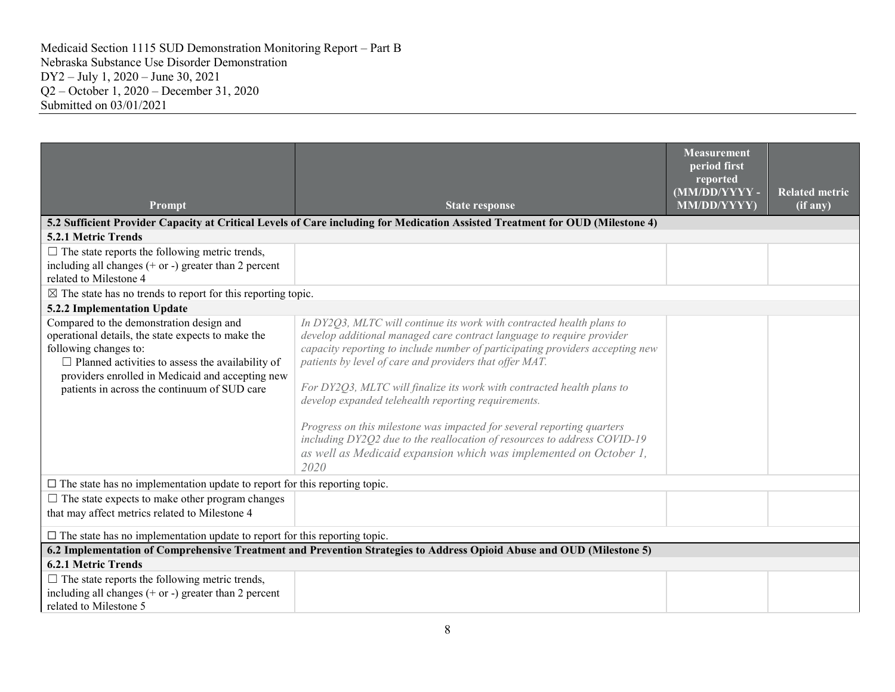| Prompt                                                                                                                                                                                                                                                                                 | <b>State response</b>                                                                                                                                                                                                                                                                                                                                                                                                                                                                                                                                                                                                                                          | <b>Measurement</b><br>period first<br>reported<br>(MM/DD/YYYY-<br><b>MM/DD/YYYY)</b> | <b>Related metric</b><br>(if any) |
|----------------------------------------------------------------------------------------------------------------------------------------------------------------------------------------------------------------------------------------------------------------------------------------|----------------------------------------------------------------------------------------------------------------------------------------------------------------------------------------------------------------------------------------------------------------------------------------------------------------------------------------------------------------------------------------------------------------------------------------------------------------------------------------------------------------------------------------------------------------------------------------------------------------------------------------------------------------|--------------------------------------------------------------------------------------|-----------------------------------|
|                                                                                                                                                                                                                                                                                        | 5.2 Sufficient Provider Capacity at Critical Levels of Care including for Medication Assisted Treatment for OUD (Milestone 4)                                                                                                                                                                                                                                                                                                                                                                                                                                                                                                                                  |                                                                                      |                                   |
| 5.2.1 Metric Trends                                                                                                                                                                                                                                                                    |                                                                                                                                                                                                                                                                                                                                                                                                                                                                                                                                                                                                                                                                |                                                                                      |                                   |
| $\Box$ The state reports the following metric trends,                                                                                                                                                                                                                                  |                                                                                                                                                                                                                                                                                                                                                                                                                                                                                                                                                                                                                                                                |                                                                                      |                                   |
| including all changes $(+)$ or $-)$ greater than 2 percent<br>related to Milestone 4                                                                                                                                                                                                   |                                                                                                                                                                                                                                                                                                                                                                                                                                                                                                                                                                                                                                                                |                                                                                      |                                   |
| $\boxtimes$ The state has no trends to report for this reporting topic.                                                                                                                                                                                                                |                                                                                                                                                                                                                                                                                                                                                                                                                                                                                                                                                                                                                                                                |                                                                                      |                                   |
| 5.2.2 Implementation Update                                                                                                                                                                                                                                                            |                                                                                                                                                                                                                                                                                                                                                                                                                                                                                                                                                                                                                                                                |                                                                                      |                                   |
| Compared to the demonstration design and<br>operational details, the state expects to make the<br>following changes to:<br>$\Box$ Planned activities to assess the availability of<br>providers enrolled in Medicaid and accepting new<br>patients in across the continuum of SUD care | In DY2Q3, MLTC will continue its work with contracted health plans to<br>develop additional managed care contract language to require provider<br>capacity reporting to include number of participating providers accepting new<br>patients by level of care and providers that offer MAT.<br>For DY2Q3, MLTC will finalize its work with contracted health plans to<br>develop expanded telehealth reporting requirements.<br>Progress on this milestone was impacted for several reporting quarters<br>including DY2Q2 due to the reallocation of resources to address COVID-19<br>as well as Medicaid expansion which was implemented on October 1,<br>2020 |                                                                                      |                                   |
| $\square$ The state has no implementation update to report for this reporting topic.                                                                                                                                                                                                   |                                                                                                                                                                                                                                                                                                                                                                                                                                                                                                                                                                                                                                                                |                                                                                      |                                   |
| $\Box$ The state expects to make other program changes<br>that may affect metrics related to Milestone 4                                                                                                                                                                               |                                                                                                                                                                                                                                                                                                                                                                                                                                                                                                                                                                                                                                                                |                                                                                      |                                   |
| $\square$ The state has no implementation update to report for this reporting topic.                                                                                                                                                                                                   |                                                                                                                                                                                                                                                                                                                                                                                                                                                                                                                                                                                                                                                                |                                                                                      |                                   |
|                                                                                                                                                                                                                                                                                        | 6.2 Implementation of Comprehensive Treatment and Prevention Strategies to Address Opioid Abuse and OUD (Milestone 5)                                                                                                                                                                                                                                                                                                                                                                                                                                                                                                                                          |                                                                                      |                                   |
| <b>6.2.1 Metric Trends</b>                                                                                                                                                                                                                                                             |                                                                                                                                                                                                                                                                                                                                                                                                                                                                                                                                                                                                                                                                |                                                                                      |                                   |
| $\Box$ The state reports the following metric trends,<br>including all changes $(+)$ or $-)$ greater than 2 percent<br>related to Milestone 5                                                                                                                                          |                                                                                                                                                                                                                                                                                                                                                                                                                                                                                                                                                                                                                                                                |                                                                                      |                                   |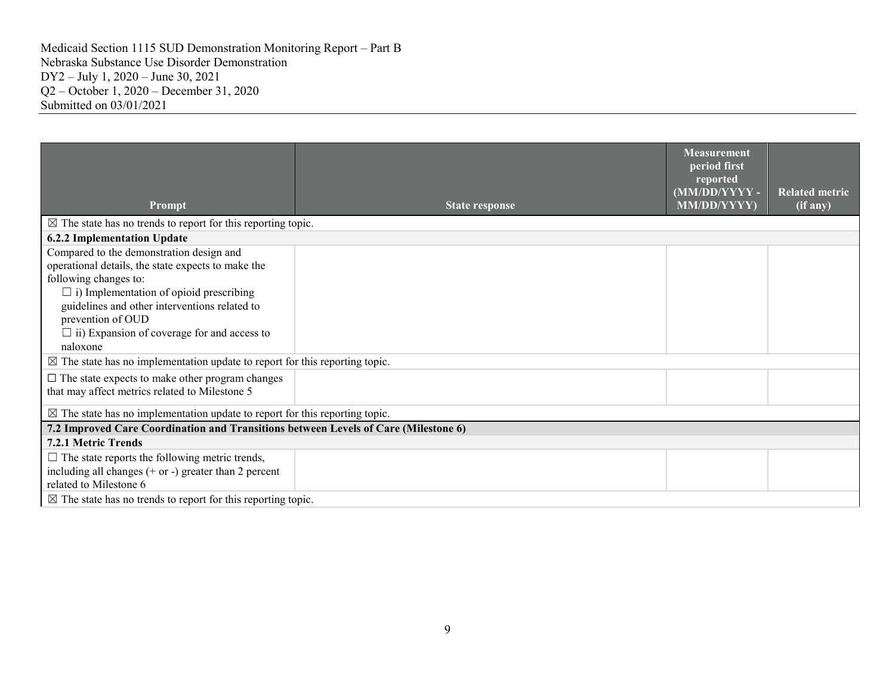| Prompt                                                                                                                                                                                                                                                                                                            | <b>State response</b> | <b>Measurement</b><br>period first<br>reported<br>(MM/DD/YYYY-<br><b>MM/DD/YYYY)</b> | <b>Related metric</b><br>$(i f \nightharpoonup a \nightharpoonup)$ |
|-------------------------------------------------------------------------------------------------------------------------------------------------------------------------------------------------------------------------------------------------------------------------------------------------------------------|-----------------------|--------------------------------------------------------------------------------------|--------------------------------------------------------------------|
| $\boxtimes$ The state has no trends to report for this reporting topic.                                                                                                                                                                                                                                           |                       |                                                                                      |                                                                    |
| <b>6.2.2 Implementation Update</b>                                                                                                                                                                                                                                                                                |                       |                                                                                      |                                                                    |
| Compared to the demonstration design and<br>operational details, the state expects to make the<br>following changes to:<br>$\Box$ i) Implementation of opioid prescribing<br>guidelines and other interventions related to<br>prevention of OUD<br>$\Box$ ii) Expansion of coverage for and access to<br>naloxone |                       |                                                                                      |                                                                    |
| $\boxtimes$ The state has no implementation update to report for this reporting topic.                                                                                                                                                                                                                            |                       |                                                                                      |                                                                    |
| $\Box$ The state expects to make other program changes<br>that may affect metrics related to Milestone 5                                                                                                                                                                                                          |                       |                                                                                      |                                                                    |
| $\boxtimes$ The state has no implementation update to report for this reporting topic.                                                                                                                                                                                                                            |                       |                                                                                      |                                                                    |
| 7.2 Improved Care Coordination and Transitions between Levels of Care (Milestone 6)                                                                                                                                                                                                                               |                       |                                                                                      |                                                                    |
| 7.2.1 Metric Trends                                                                                                                                                                                                                                                                                               |                       |                                                                                      |                                                                    |
| $\Box$ The state reports the following metric trends,<br>including all changes $(+)$ or $-)$ greater than 2 percent<br>related to Milestone 6                                                                                                                                                                     |                       |                                                                                      |                                                                    |
| $\boxtimes$ The state has no trends to report for this reporting topic.                                                                                                                                                                                                                                           |                       |                                                                                      |                                                                    |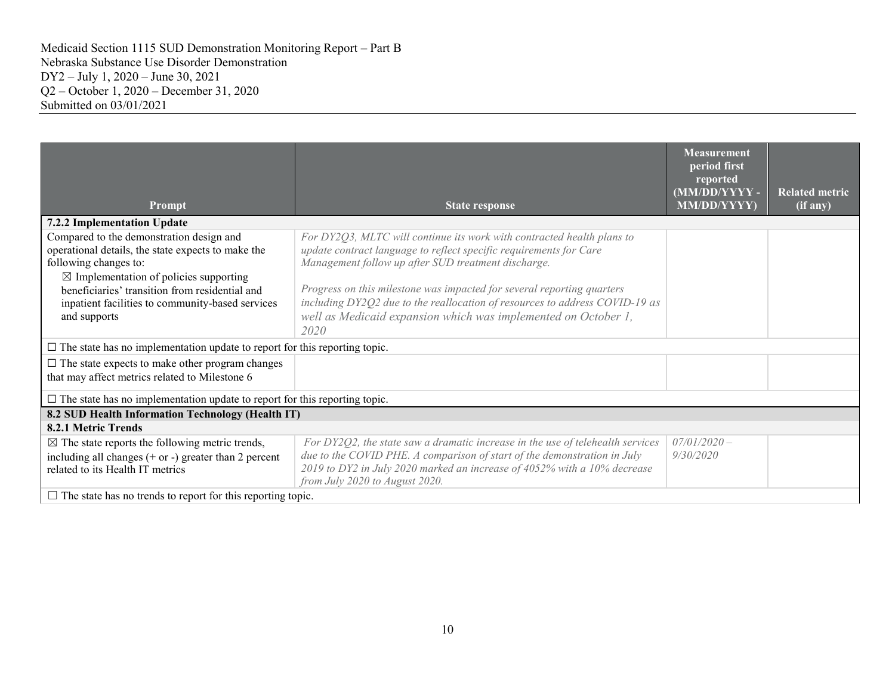| Prompt                                                                                                                                                                                                                                                                                             | <b>State response</b>                                                                                                                                                                                                                                                                                                                                                                                                                  | <b>Measurement</b><br>period first<br>reported<br>(MM/DD/YYYY-<br>MM/DD/YYYY) | <b>Related metric</b><br>(if any) |
|----------------------------------------------------------------------------------------------------------------------------------------------------------------------------------------------------------------------------------------------------------------------------------------------------|----------------------------------------------------------------------------------------------------------------------------------------------------------------------------------------------------------------------------------------------------------------------------------------------------------------------------------------------------------------------------------------------------------------------------------------|-------------------------------------------------------------------------------|-----------------------------------|
| 7.2.2 Implementation Update                                                                                                                                                                                                                                                                        |                                                                                                                                                                                                                                                                                                                                                                                                                                        |                                                                               |                                   |
| Compared to the demonstration design and<br>operational details, the state expects to make the<br>following changes to:<br>$\boxtimes$ Implementation of policies supporting<br>beneficiaries' transition from residential and<br>inpatient facilities to community-based services<br>and supports | For DY2Q3, MLTC will continue its work with contracted health plans to<br>update contract language to reflect specific requirements for Care<br>Management follow up after SUD treatment discharge.<br>Progress on this milestone was impacted for several reporting quarters<br>including DY2Q2 due to the reallocation of resources to address COVID-19 as<br>well as Medicaid expansion which was implemented on October 1,<br>2020 |                                                                               |                                   |
| $\square$ The state has no implementation update to report for this reporting topic.                                                                                                                                                                                                               |                                                                                                                                                                                                                                                                                                                                                                                                                                        |                                                                               |                                   |
| $\Box$ The state expects to make other program changes<br>that may affect metrics related to Milestone 6                                                                                                                                                                                           |                                                                                                                                                                                                                                                                                                                                                                                                                                        |                                                                               |                                   |
| $\square$ The state has no implementation update to report for this reporting topic.                                                                                                                                                                                                               |                                                                                                                                                                                                                                                                                                                                                                                                                                        |                                                                               |                                   |
| 8.2 SUD Health Information Technology (Health IT)                                                                                                                                                                                                                                                  |                                                                                                                                                                                                                                                                                                                                                                                                                                        |                                                                               |                                   |
| 8.2.1 Metric Trends                                                                                                                                                                                                                                                                                |                                                                                                                                                                                                                                                                                                                                                                                                                                        |                                                                               |                                   |
| $\boxtimes$ The state reports the following metric trends,<br>including all changes $(+)$ or $-)$ greater than 2 percent<br>related to its Health IT metrics                                                                                                                                       | For DY2Q2, the state saw a dramatic increase in the use of telehealth services<br>due to the COVID PHE. A comparison of start of the demonstration in July<br>2019 to DY2 in July 2020 marked an increase of 4052% with a 10% decrease<br>from July 2020 to August 2020.                                                                                                                                                               | $07/01/2020 -$<br>9/30/2020                                                   |                                   |
| $\Box$ The state has no trends to report for this reporting topic.                                                                                                                                                                                                                                 |                                                                                                                                                                                                                                                                                                                                                                                                                                        |                                                                               |                                   |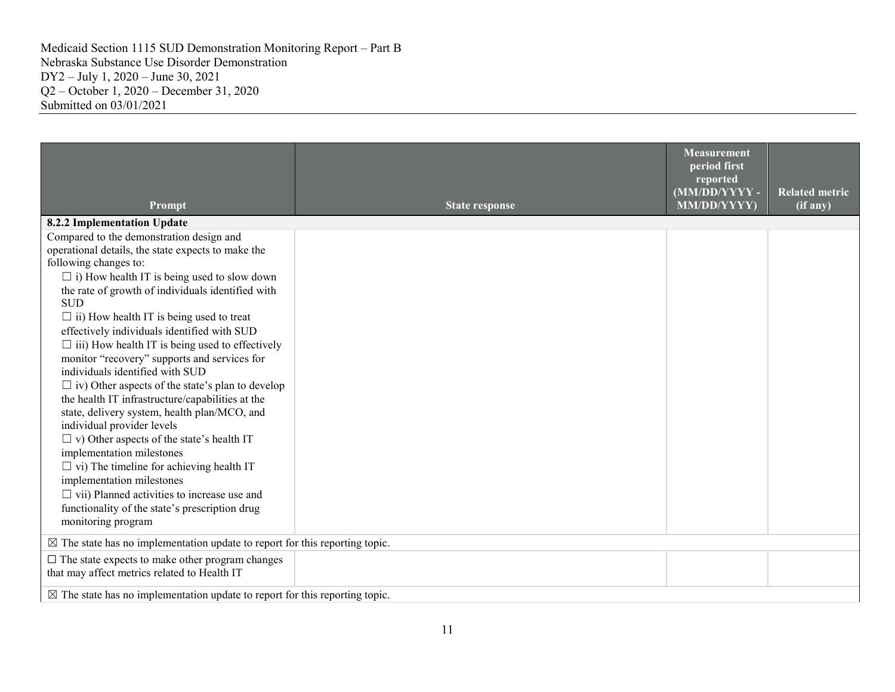| Prompt                                                                                                                                                                                                                                                                                                                                                                                                                                                                                                                                                                                                                                                                                                                                                                                                                                                                                                                                                                | <b>State response</b> | <b>Measurement</b><br>period first<br>reported<br>(MM/DD/YYYY-<br>MM/DD/YYYY) | <b>Related metric</b><br>(if any) |
|-----------------------------------------------------------------------------------------------------------------------------------------------------------------------------------------------------------------------------------------------------------------------------------------------------------------------------------------------------------------------------------------------------------------------------------------------------------------------------------------------------------------------------------------------------------------------------------------------------------------------------------------------------------------------------------------------------------------------------------------------------------------------------------------------------------------------------------------------------------------------------------------------------------------------------------------------------------------------|-----------------------|-------------------------------------------------------------------------------|-----------------------------------|
| 8.2.2 Implementation Update                                                                                                                                                                                                                                                                                                                                                                                                                                                                                                                                                                                                                                                                                                                                                                                                                                                                                                                                           |                       |                                                                               |                                   |
| Compared to the demonstration design and<br>operational details, the state expects to make the<br>following changes to:<br>$\Box$ i) How health IT is being used to slow down<br>the rate of growth of individuals identified with<br><b>SUD</b><br>$\Box$ ii) How health IT is being used to treat<br>effectively individuals identified with SUD<br>$\Box$ iii) How health IT is being used to effectively<br>monitor "recovery" supports and services for<br>individuals identified with SUD<br>$\Box$ iv) Other aspects of the state's plan to develop<br>the health IT infrastructure/capabilities at the<br>state, delivery system, health plan/MCO, and<br>individual provider levels<br>$\Box$ v) Other aspects of the state's health IT<br>implementation milestones<br>$\Box$ vi) The timeline for achieving health IT<br>implementation milestones<br>$\Box$ vii) Planned activities to increase use and<br>functionality of the state's prescription drug |                       |                                                                               |                                   |
| monitoring program                                                                                                                                                                                                                                                                                                                                                                                                                                                                                                                                                                                                                                                                                                                                                                                                                                                                                                                                                    |                       |                                                                               |                                   |
| $\boxtimes$ The state has no implementation update to report for this reporting topic.                                                                                                                                                                                                                                                                                                                                                                                                                                                                                                                                                                                                                                                                                                                                                                                                                                                                                |                       |                                                                               |                                   |
| $\square$ The state expects to make other program changes<br>that may affect metrics related to Health IT                                                                                                                                                                                                                                                                                                                                                                                                                                                                                                                                                                                                                                                                                                                                                                                                                                                             |                       |                                                                               |                                   |
| $\boxtimes$ The state has no implementation update to report for this reporting topic.                                                                                                                                                                                                                                                                                                                                                                                                                                                                                                                                                                                                                                                                                                                                                                                                                                                                                |                       |                                                                               |                                   |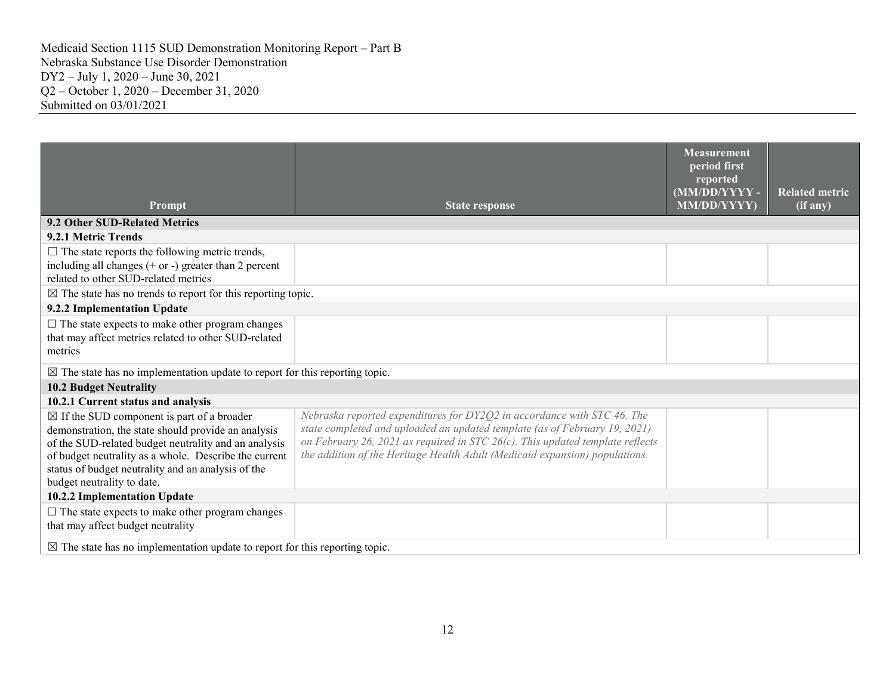| Prompt                                                                                                                                                                                                                                                                                                            | <b>State response</b>                                                                                                                                                                                                                                                                                                 | <b>Measurement</b><br>period first<br>reported<br>(MM/DD/YYYY-<br>MM/DD/YYYY) | <b>Related metric</b><br>$(i\overline{f}$ any) |
|-------------------------------------------------------------------------------------------------------------------------------------------------------------------------------------------------------------------------------------------------------------------------------------------------------------------|-----------------------------------------------------------------------------------------------------------------------------------------------------------------------------------------------------------------------------------------------------------------------------------------------------------------------|-------------------------------------------------------------------------------|------------------------------------------------|
| 9.2 Other SUD-Related Metrics                                                                                                                                                                                                                                                                                     |                                                                                                                                                                                                                                                                                                                       |                                                                               |                                                |
| 9.2.1 Metric Trends                                                                                                                                                                                                                                                                                               |                                                                                                                                                                                                                                                                                                                       |                                                                               |                                                |
| $\Box$ The state reports the following metric trends,<br>including all changes $(+)$ or $-)$ greater than 2 percent<br>related to other SUD-related metrics                                                                                                                                                       |                                                                                                                                                                                                                                                                                                                       |                                                                               |                                                |
| $\boxtimes$ The state has no trends to report for this reporting topic.                                                                                                                                                                                                                                           |                                                                                                                                                                                                                                                                                                                       |                                                                               |                                                |
| 9.2.2 Implementation Update                                                                                                                                                                                                                                                                                       |                                                                                                                                                                                                                                                                                                                       |                                                                               |                                                |
| $\square$ The state expects to make other program changes<br>that may affect metrics related to other SUD-related<br>metrics                                                                                                                                                                                      |                                                                                                                                                                                                                                                                                                                       |                                                                               |                                                |
| $\boxtimes$ The state has no implementation update to report for this reporting topic.                                                                                                                                                                                                                            |                                                                                                                                                                                                                                                                                                                       |                                                                               |                                                |
| <b>10.2 Budget Neutrality</b>                                                                                                                                                                                                                                                                                     |                                                                                                                                                                                                                                                                                                                       |                                                                               |                                                |
| 10.2.1 Current status and analysis                                                                                                                                                                                                                                                                                |                                                                                                                                                                                                                                                                                                                       |                                                                               |                                                |
| $\boxtimes$ If the SUD component is part of a broader<br>demonstration, the state should provide an analysis<br>of the SUD-related budget neutrality and an analysis<br>of budget neutrality as a whole. Describe the current<br>status of budget neutrality and an analysis of the<br>budget neutrality to date. | Nebraska reported expenditures for DY2Q2 in accordance with STC 46. The<br>state completed and uploaded an updated template (as of February 19, 2021)<br>on February 26, 2021 as required in STC 26(c). This updated template reflects<br>the addition of the Heritage Health Adult (Medicaid expansion) populations. |                                                                               |                                                |
| 10.2.2 Implementation Update                                                                                                                                                                                                                                                                                      |                                                                                                                                                                                                                                                                                                                       |                                                                               |                                                |
| $\square$ The state expects to make other program changes<br>that may affect budget neutrality                                                                                                                                                                                                                    |                                                                                                                                                                                                                                                                                                                       |                                                                               |                                                |
| $\boxtimes$ The state has no implementation update to report for this reporting topic.                                                                                                                                                                                                                            |                                                                                                                                                                                                                                                                                                                       |                                                                               |                                                |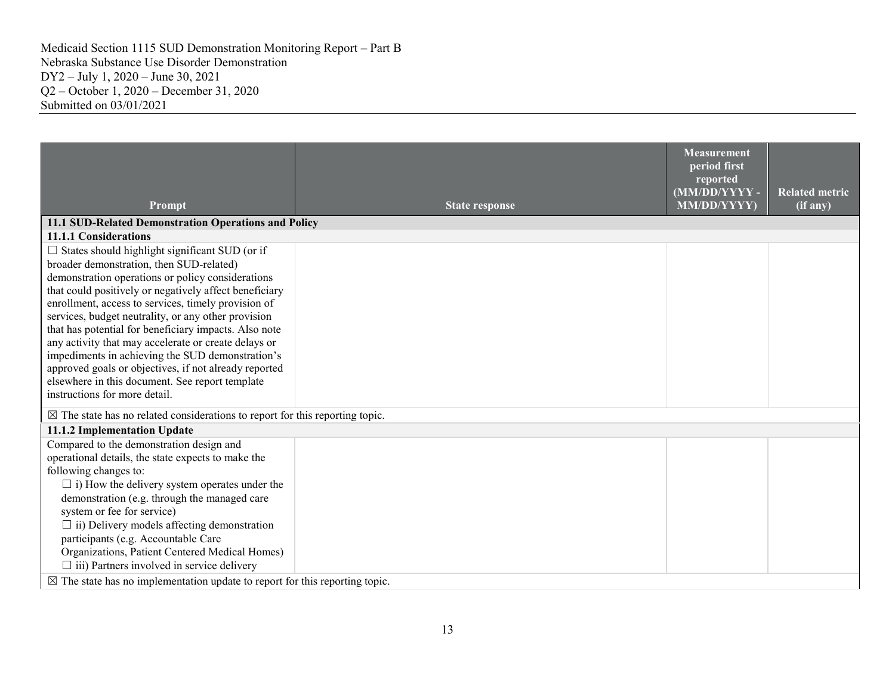| Prompt                                                                                                                                                                                                                                                                                                                                                                                                                                                                                                                                                                                                                                           | <b>State response</b> | <b>Measurement</b><br>period first<br>reported<br>(MM/DD/YYYY-<br>MM/DD/YYYY) | <b>Related metric</b><br>(i f a ny) |
|--------------------------------------------------------------------------------------------------------------------------------------------------------------------------------------------------------------------------------------------------------------------------------------------------------------------------------------------------------------------------------------------------------------------------------------------------------------------------------------------------------------------------------------------------------------------------------------------------------------------------------------------------|-----------------------|-------------------------------------------------------------------------------|-------------------------------------|
| 11.1 SUD-Related Demonstration Operations and Policy                                                                                                                                                                                                                                                                                                                                                                                                                                                                                                                                                                                             |                       |                                                                               |                                     |
| 11.1.1 Considerations                                                                                                                                                                                                                                                                                                                                                                                                                                                                                                                                                                                                                            |                       |                                                                               |                                     |
| $\Box$ States should highlight significant SUD (or if<br>broader demonstration, then SUD-related)<br>demonstration operations or policy considerations<br>that could positively or negatively affect beneficiary<br>enrollment, access to services, timely provision of<br>services, budget neutrality, or any other provision<br>that has potential for beneficiary impacts. Also note<br>any activity that may accelerate or create delays or<br>impediments in achieving the SUD demonstration's<br>approved goals or objectives, if not already reported<br>elsewhere in this document. See report template<br>instructions for more detail. |                       |                                                                               |                                     |
| $\boxtimes$ The state has no related considerations to report for this reporting topic.                                                                                                                                                                                                                                                                                                                                                                                                                                                                                                                                                          |                       |                                                                               |                                     |
| 11.1.2 Implementation Update                                                                                                                                                                                                                                                                                                                                                                                                                                                                                                                                                                                                                     |                       |                                                                               |                                     |
| Compared to the demonstration design and<br>operational details, the state expects to make the<br>following changes to:<br>$\Box$ i) How the delivery system operates under the<br>demonstration (e.g. through the managed care<br>system or fee for service)<br>$\Box$ ii) Delivery models affecting demonstration<br>participants (e.g. Accountable Care<br>Organizations, Patient Centered Medical Homes)<br>$\Box$ iii) Partners involved in service delivery<br>$\boxtimes$ The state has no implementation update to report for this reporting topic.                                                                                      |                       |                                                                               |                                     |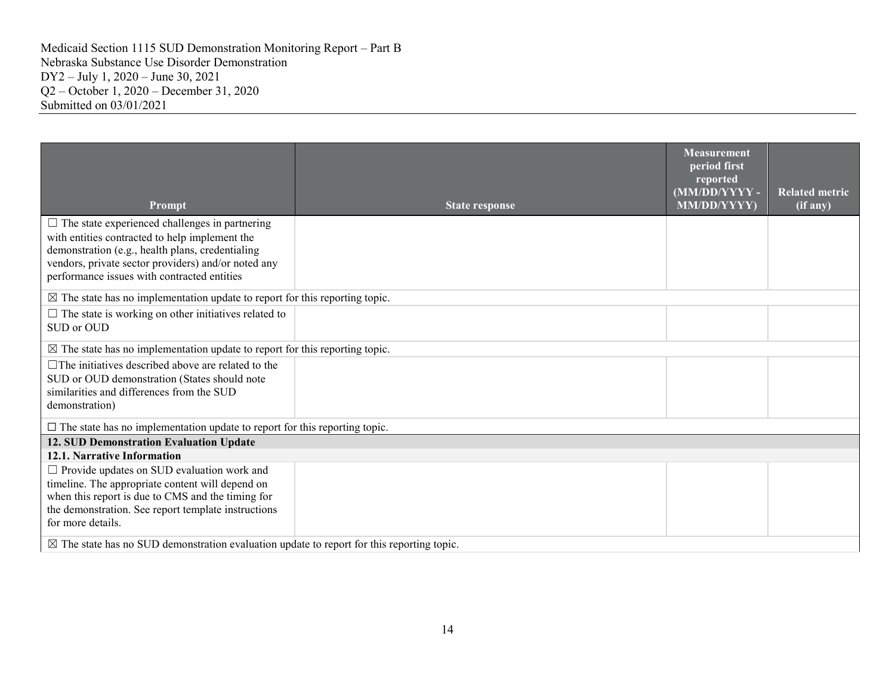|                                                                                                         |                       | <b>Measurement</b><br>period first<br>reported<br>(MM/DD/YYYY-<br>MM/DD/YYYY) | <b>Related metric</b><br>(if any) |  |
|---------------------------------------------------------------------------------------------------------|-----------------------|-------------------------------------------------------------------------------|-----------------------------------|--|
| Prompt                                                                                                  | <b>State response</b> |                                                                               |                                   |  |
| $\Box$ The state experienced challenges in partnering                                                   |                       |                                                                               |                                   |  |
| with entities contracted to help implement the                                                          |                       |                                                                               |                                   |  |
| demonstration (e.g., health plans, credentialing<br>vendors, private sector providers) and/or noted any |                       |                                                                               |                                   |  |
| performance issues with contracted entities                                                             |                       |                                                                               |                                   |  |
|                                                                                                         |                       |                                                                               |                                   |  |
| $\boxtimes$ The state has no implementation update to report for this reporting topic.                  |                       |                                                                               |                                   |  |
| $\Box$ The state is working on other initiatives related to                                             |                       |                                                                               |                                   |  |
| SUD or OUD                                                                                              |                       |                                                                               |                                   |  |
| $\boxtimes$ The state has no implementation update to report for this reporting topic.                  |                       |                                                                               |                                   |  |
| $\Box$ The initiatives described above are related to the                                               |                       |                                                                               |                                   |  |
| SUD or OUD demonstration (States should note                                                            |                       |                                                                               |                                   |  |
| similarities and differences from the SUD                                                               |                       |                                                                               |                                   |  |
| demonstration)                                                                                          |                       |                                                                               |                                   |  |
| $\square$ The state has no implementation update to report for this reporting topic.                    |                       |                                                                               |                                   |  |
| 12. SUD Demonstration Evaluation Update                                                                 |                       |                                                                               |                                   |  |
| 12.1. Narrative Information                                                                             |                       |                                                                               |                                   |  |
| $\Box$ Provide updates on SUD evaluation work and                                                       |                       |                                                                               |                                   |  |
| timeline. The appropriate content will depend on                                                        |                       |                                                                               |                                   |  |
| when this report is due to CMS and the timing for                                                       |                       |                                                                               |                                   |  |
| the demonstration. See report template instructions                                                     |                       |                                                                               |                                   |  |
| for more details.                                                                                       |                       |                                                                               |                                   |  |
| $\boxtimes$ The state has no SUD demonstration evaluation update to report for this reporting topic.    |                       |                                                                               |                                   |  |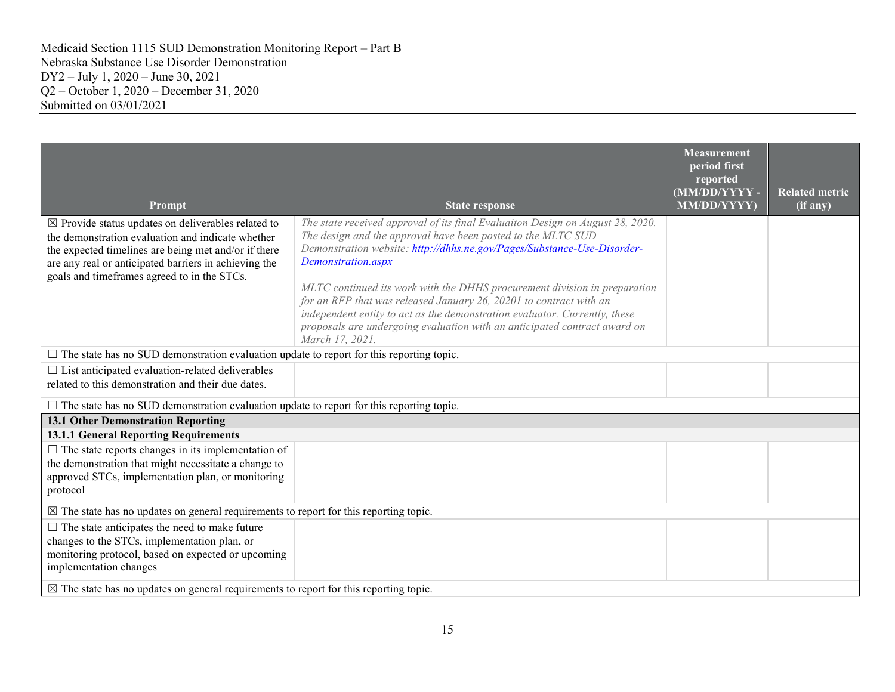| Prompt                                                                                                                                                                                                                                                                             | <b>State response</b>                                                                                                                                                                                                                                                                                                                                                                                                                                                                                                                                                            | <b>Measurement</b><br>period first<br>reported<br>(MM/DD/YYYY-<br>MM/DD/YYYY) | <b>Related metric</b><br>(if any) |
|------------------------------------------------------------------------------------------------------------------------------------------------------------------------------------------------------------------------------------------------------------------------------------|----------------------------------------------------------------------------------------------------------------------------------------------------------------------------------------------------------------------------------------------------------------------------------------------------------------------------------------------------------------------------------------------------------------------------------------------------------------------------------------------------------------------------------------------------------------------------------|-------------------------------------------------------------------------------|-----------------------------------|
| $\boxtimes$ Provide status updates on deliverables related to<br>the demonstration evaluation and indicate whether<br>the expected timelines are being met and/or if there<br>are any real or anticipated barriers in achieving the<br>goals and timeframes agreed to in the STCs. | The state received approval of its final Evaluaiton Design on August 28, 2020.<br>The design and the approval have been posted to the MLTC SUD<br>Demonstration website: http://dhhs.ne.gov/Pages/Substance-Use-Disorder-<br>Demonstration.aspx<br>MLTC continued its work with the DHHS procurement division in preparation<br>for an RFP that was released January 26, 20201 to contract with an<br>independent entity to act as the demonstration evaluator. Currently, these<br>proposals are undergoing evaluation with an anticipated contract award on<br>March 17, 2021. |                                                                               |                                   |
| $\Box$ The state has no SUD demonstration evaluation update to report for this reporting topic.                                                                                                                                                                                    |                                                                                                                                                                                                                                                                                                                                                                                                                                                                                                                                                                                  |                                                                               |                                   |
| $\Box$ List anticipated evaluation-related deliverables<br>related to this demonstration and their due dates.                                                                                                                                                                      |                                                                                                                                                                                                                                                                                                                                                                                                                                                                                                                                                                                  |                                                                               |                                   |
| $\Box$ The state has no SUD demonstration evaluation update to report for this reporting topic.                                                                                                                                                                                    |                                                                                                                                                                                                                                                                                                                                                                                                                                                                                                                                                                                  |                                                                               |                                   |
| <b>13.1 Other Demonstration Reporting</b>                                                                                                                                                                                                                                          |                                                                                                                                                                                                                                                                                                                                                                                                                                                                                                                                                                                  |                                                                               |                                   |
| <b>13.1.1 General Reporting Requirements</b>                                                                                                                                                                                                                                       |                                                                                                                                                                                                                                                                                                                                                                                                                                                                                                                                                                                  |                                                                               |                                   |
| $\Box$ The state reports changes in its implementation of<br>the demonstration that might necessitate a change to<br>approved STCs, implementation plan, or monitoring<br>protocol                                                                                                 |                                                                                                                                                                                                                                                                                                                                                                                                                                                                                                                                                                                  |                                                                               |                                   |
| $\boxtimes$ The state has no updates on general requirements to report for this reporting topic.                                                                                                                                                                                   |                                                                                                                                                                                                                                                                                                                                                                                                                                                                                                                                                                                  |                                                                               |                                   |
| $\Box$ The state anticipates the need to make future<br>changes to the STCs, implementation plan, or<br>monitoring protocol, based on expected or upcoming<br>implementation changes                                                                                               |                                                                                                                                                                                                                                                                                                                                                                                                                                                                                                                                                                                  |                                                                               |                                   |
| $\boxtimes$ The state has no updates on general requirements to report for this reporting topic.                                                                                                                                                                                   |                                                                                                                                                                                                                                                                                                                                                                                                                                                                                                                                                                                  |                                                                               |                                   |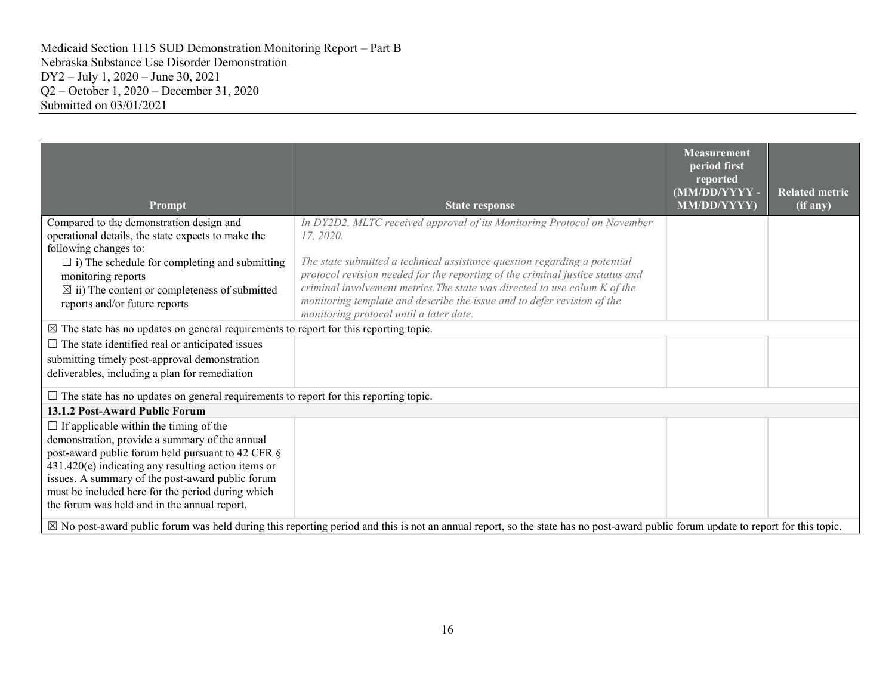|                                                                                                                                                                                                                                                                                                                                                                        |                                                                                                                                                                                                                                                                                                                                                                | <b>Measurement</b><br>period first<br>reported<br>(MM/DD/YYYY - | <b>Related metric</b> |  |
|------------------------------------------------------------------------------------------------------------------------------------------------------------------------------------------------------------------------------------------------------------------------------------------------------------------------------------------------------------------------|----------------------------------------------------------------------------------------------------------------------------------------------------------------------------------------------------------------------------------------------------------------------------------------------------------------------------------------------------------------|-----------------------------------------------------------------|-----------------------|--|
| Prompt                                                                                                                                                                                                                                                                                                                                                                 | <b>State response</b>                                                                                                                                                                                                                                                                                                                                          | MM/DD/YYYY)                                                     | $(i\bar{f}$ any)      |  |
| Compared to the demonstration design and<br>operational details, the state expects to make the<br>following changes to:                                                                                                                                                                                                                                                | In DY2D2, MLTC received approval of its Monitoring Protocol on November<br>17.2020.                                                                                                                                                                                                                                                                            |                                                                 |                       |  |
| $\Box$ i) The schedule for completing and submitting<br>monitoring reports<br>$\boxtimes$ ii) The content or completeness of submitted<br>reports and/or future reports                                                                                                                                                                                                | The state submitted a technical assistance question regarding a potential<br>protocol revision needed for the reporting of the criminal justice status and<br>criminal involvement metrics. The state was directed to use colum K of the<br>monitoring template and describe the issue and to defer revision of the<br>monitoring protocol until a later date. |                                                                 |                       |  |
| $\boxtimes$ The state has no updates on general requirements to report for this reporting topic.                                                                                                                                                                                                                                                                       |                                                                                                                                                                                                                                                                                                                                                                |                                                                 |                       |  |
| $\Box$ The state identified real or anticipated issues<br>submitting timely post-approval demonstration<br>deliverables, including a plan for remediation                                                                                                                                                                                                              |                                                                                                                                                                                                                                                                                                                                                                |                                                                 |                       |  |
| $\Box$ The state has no updates on general requirements to report for this reporting topic.                                                                                                                                                                                                                                                                            |                                                                                                                                                                                                                                                                                                                                                                |                                                                 |                       |  |
| 13.1.2 Post-Award Public Forum                                                                                                                                                                                                                                                                                                                                         |                                                                                                                                                                                                                                                                                                                                                                |                                                                 |                       |  |
| $\Box$ If applicable within the timing of the<br>demonstration, provide a summary of the annual<br>post-award public forum held pursuant to 42 CFR §<br>$431.420(c)$ indicating any resulting action items or<br>issues. A summary of the post-award public forum<br>must be included here for the period during which<br>the forum was held and in the annual report. |                                                                                                                                                                                                                                                                                                                                                                |                                                                 |                       |  |
| $\boxtimes$ No post-award public forum was held during this reporting period and this is not an annual report, so the state has no post-award public forum update to report for this topic.                                                                                                                                                                            |                                                                                                                                                                                                                                                                                                                                                                |                                                                 |                       |  |